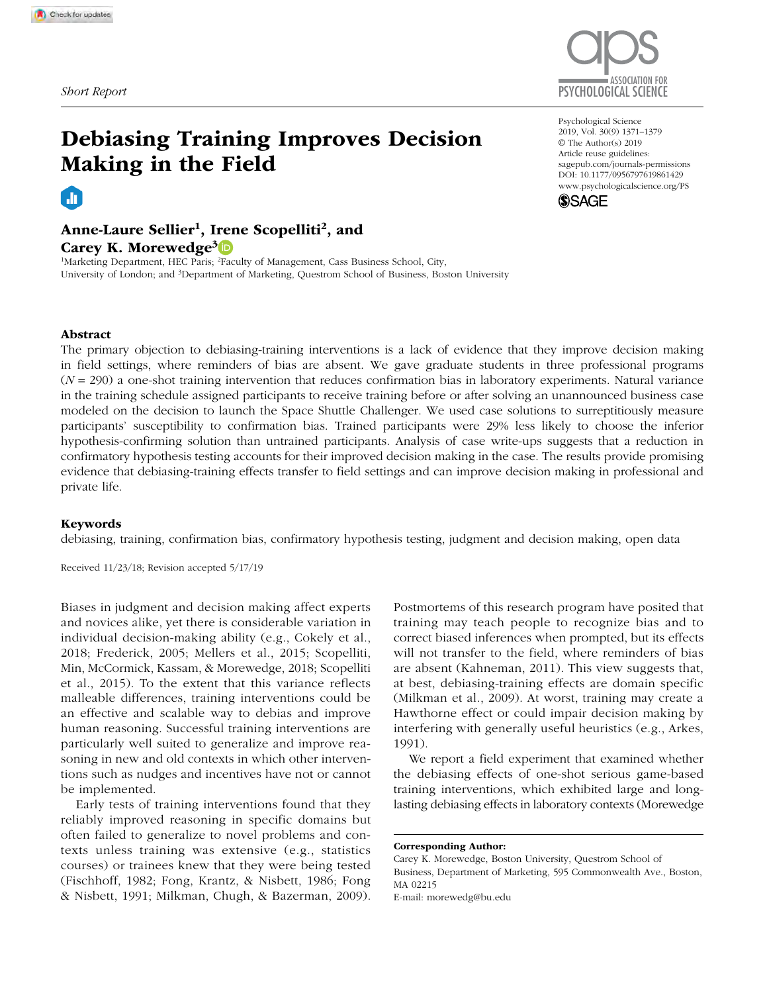# Debiasing Training Improves Decision Making in the Field

 $\blacksquare$ 

Anne-Laure Sellier<sup>1</sup>, Irene Scopelliti<sup>2</sup>, and Carey K. Morewedge<sup>3</sup>

<sup>1</sup>Marketing Department, HEC Paris; <sup>2</sup>Faculty of Management, Cass Business School, City, University of London; and <sup>3</sup>Department of Marketing, Questrom School of Business, Boston University

#### Abstract

The primary objection to debiasing-training interventions is a lack of evidence that they improve decision making in field settings, where reminders of bias are absent. We gave graduate students in three professional programs (*N* = 290) a one-shot training intervention that reduces confirmation bias in laboratory experiments. Natural variance in the training schedule assigned participants to receive training before or after solving an unannounced business case modeled on the decision to launch the Space Shuttle Challenger. We used case solutions to surreptitiously measure participants' susceptibility to confirmation bias. Trained participants were 29% less likely to choose the inferior hypothesis-confirming solution than untrained participants. Analysis of case write-ups suggests that a reduction in confirmatory hypothesis testing accounts for their improved decision making in the case. The results provide promising evidence that debiasing-training effects transfer to field settings and can improve decision making in professional and private life.

#### Keywords

debiasing, training, confirmation bias, confirmatory hypothesis testing, judgment and decision making, open data

Received 11/23/18; Revision accepted 5/17/19

Biases in judgment and decision making affect experts and novices alike, yet there is considerable variation in individual decision-making ability (e.g., Cokely et al., 2018; Frederick, 2005; Mellers et al., 2015; Scopelliti, Min, McCormick, Kassam, & Morewedge, 2018; Scopelliti et al., 2015). To the extent that this variance reflects malleable differences, training interventions could be an effective and scalable way to debias and improve human reasoning. Successful training interventions are particularly well suited to generalize and improve reasoning in new and old contexts in which other interventions such as nudges and incentives have not or cannot be implemented.

Early tests of training interventions found that they reliably improved reasoning in specific domains but often failed to generalize to novel problems and contexts unless training was extensive (e.g., statistics courses) or trainees knew that they were being tested (Fischhoff, 1982; Fong, Krantz, & Nisbett, 1986; Fong & Nisbett, 1991; Milkman, Chugh, & Bazerman, 2009). Postmortems of this research program have posited that training may teach people to recognize bias and to correct biased inferences when prompted, but its effects will not transfer to the field, where reminders of bias are absent (Kahneman, 2011). This view suggests that, at best, debiasing-training effects are domain specific (Milkman et al., 2009). At worst, training may create a Hawthorne effect or could impair decision making by interfering with generally useful heuristics (e.g., Arkes, 1991).

We report a field experiment that examined whether the debiasing effects of one-shot serious game-based training interventions, which exhibited large and longlasting debiasing effects in laboratory contexts (Morewedge

Corresponding Author:

Carey K. Morewedge, Boston University, Questrom School of Business, Department of Marketing, 595 Commonwealth Ave., Boston, MA 02215

E-mail: [morewedg@bu.edu](mailto:morewedg@bu.edu)

https://doi.org/10.1177/0956797619861429 DOI: 10.1177/0956797619861429 Psychological Science 2019, Vol. 30(9) 1371–1379 © The Author(s) 2019 Article reuse guidelines: [sagepub.com/journals-permissions](https://sagepub.com/journals-permissions) [www.psychologicalscience.org/PS](http://www.psychologicalscience.org/ps)



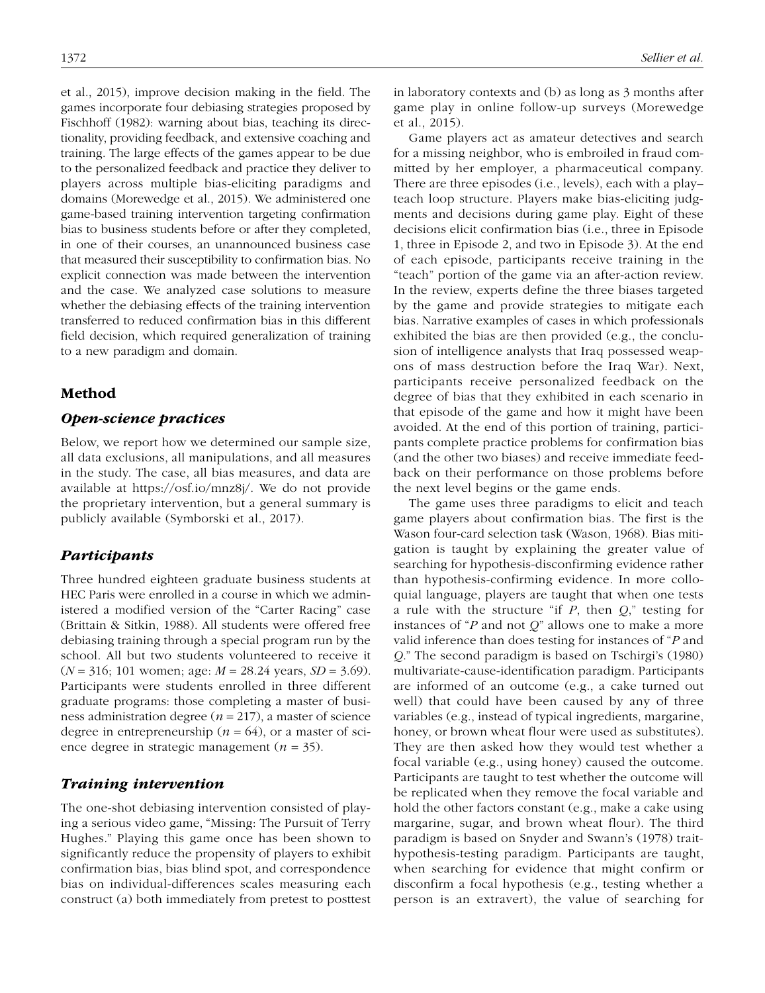et al., 2015), improve decision making in the field. The games incorporate four debiasing strategies proposed by Fischhoff (1982): warning about bias, teaching its directionality, providing feedback, and extensive coaching and training. The large effects of the games appear to be due to the personalized feedback and practice they deliver to players across multiple bias-eliciting paradigms and domains (Morewedge et al., 2015). We administered one game-based training intervention targeting confirmation bias to business students before or after they completed, in one of their courses, an unannounced business case that measured their susceptibility to confirmation bias. No explicit connection was made between the intervention and the case. We analyzed case solutions to measure whether the debiasing effects of the training intervention transferred to reduced confirmation bias in this different field decision, which required generalization of training to a new paradigm and domain.

# Method

## *Open-science practices*

Below, we report how we determined our sample size, all data exclusions, all manipulations, and all measures in the study. The case, all bias measures, and data are available at [https://osf.io/m](https://osf.io/mnz8j/)nz8j/. We do not provide the proprietary intervention, but a general summary is publicly available (Symborski et al., 2017).

## *Participants*

Three hundred eighteen graduate business students at HEC Paris were enrolled in a course in which we administered a modified version of the "Carter Racing" case (Brittain & Sitkin, 1988). All students were offered free debiasing training through a special program run by the school. All but two students volunteered to receive it (*N* = 316; 101 women; age: *M* = 28.24 years, *SD* = 3.69). Participants were students enrolled in three different graduate programs: those completing a master of business administration degree (*n* = 217), a master of science degree in entrepreneurship ( $n = 64$ ), or a master of science degree in strategic management (*n* = 35).

# *Training intervention*

The one-shot debiasing intervention consisted of playing a serious video game, "Missing: The Pursuit of Terry Hughes." Playing this game once has been shown to significantly reduce the propensity of players to exhibit confirmation bias, bias blind spot, and correspondence bias on individual-differences scales measuring each construct (a) both immediately from pretest to posttest in laboratory contexts and (b) as long as 3 months after game play in online follow-up surveys (Morewedge et al., 2015).

Game players act as amateur detectives and search for a missing neighbor, who is embroiled in fraud committed by her employer, a pharmaceutical company. There are three episodes (i.e., levels), each with a play– teach loop structure. Players make bias-eliciting judgments and decisions during game play. Eight of these decisions elicit confirmation bias (i.e., three in Episode 1, three in Episode 2, and two in Episode 3). At the end of each episode, participants receive training in the "teach" portion of the game via an after-action review. In the review, experts define the three biases targeted by the game and provide strategies to mitigate each bias. Narrative examples of cases in which professionals exhibited the bias are then provided (e.g., the conclusion of intelligence analysts that Iraq possessed weapons of mass destruction before the Iraq War). Next, participants receive personalized feedback on the degree of bias that they exhibited in each scenario in that episode of the game and how it might have been avoided. At the end of this portion of training, participants complete practice problems for confirmation bias (and the other two biases) and receive immediate feedback on their performance on those problems before the next level begins or the game ends.

The game uses three paradigms to elicit and teach game players about confirmation bias. The first is the Wason four-card selection task (Wason, 1968). Bias mitigation is taught by explaining the greater value of searching for hypothesis-disconfirming evidence rather than hypothesis-confirming evidence. In more colloquial language, players are taught that when one tests a rule with the structure "if *P*, then *Q*," testing for instances of "*P* and not *Q*" allows one to make a more valid inference than does testing for instances of "*P* and *Q*." The second paradigm is based on Tschirgi's (1980) multivariate-cause-identification paradigm. Participants are informed of an outcome (e.g., a cake turned out well) that could have been caused by any of three variables (e.g., instead of typical ingredients, margarine, honey, or brown wheat flour were used as substitutes). They are then asked how they would test whether a focal variable (e.g., using honey) caused the outcome. Participants are taught to test whether the outcome will be replicated when they remove the focal variable and hold the other factors constant (e.g., make a cake using margarine, sugar, and brown wheat flour). The third paradigm is based on Snyder and Swann's (1978) traithypothesis-testing paradigm. Participants are taught, when searching for evidence that might confirm or disconfirm a focal hypothesis (e.g., testing whether a person is an extravert), the value of searching for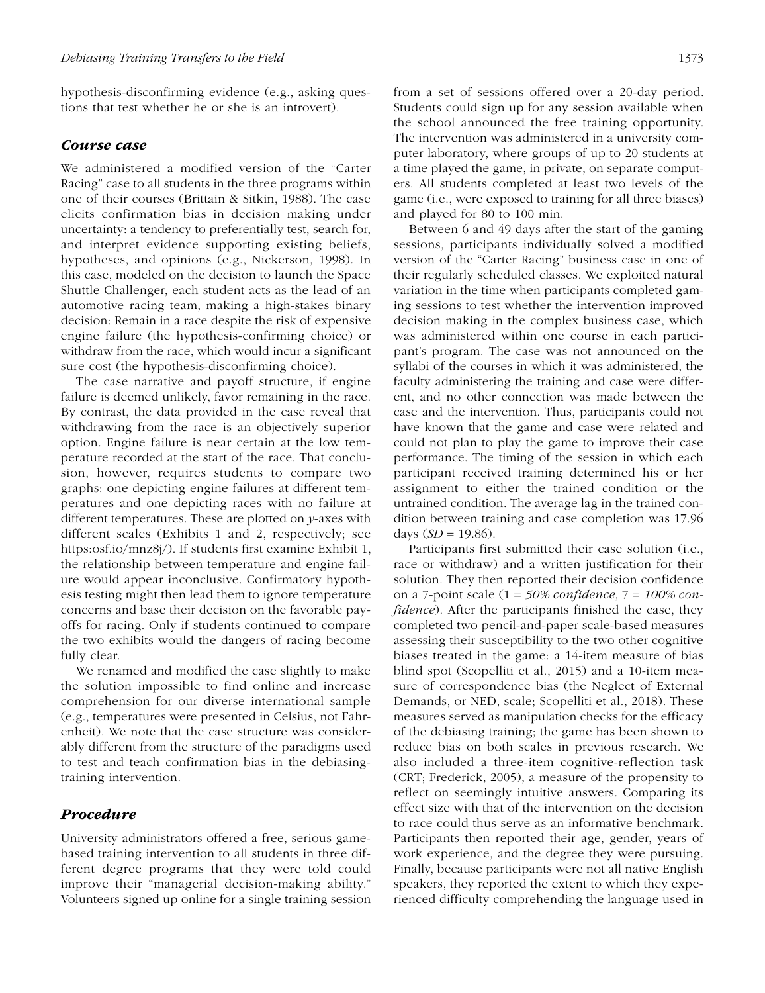hypothesis-disconfirming evidence (e.g., asking questions that test whether he or she is an introvert).

#### *Course case*

We administered a modified version of the "Carter Racing" case to all students in the three programs within one of their courses (Brittain & Sitkin, 1988). The case elicits confirmation bias in decision making under uncertainty: a tendency to preferentially test, search for, and interpret evidence supporting existing beliefs, hypotheses, and opinions (e.g., Nickerson, 1998). In this case, modeled on the decision to launch the Space Shuttle Challenger, each student acts as the lead of an automotive racing team, making a high-stakes binary decision: Remain in a race despite the risk of expensive engine failure (the hypothesis-confirming choice) or withdraw from the race, which would incur a significant sure cost (the hypothesis-disconfirming choice).

The case narrative and payoff structure, if engine failure is deemed unlikely, favor remaining in the race. By contrast, the data provided in the case reveal that withdrawing from the race is an objectively superior option. Engine failure is near certain at the low temperature recorded at the start of the race. That conclusion, however, requires students to compare two graphs: one depicting engine failures at different temperatures and one depicting races with no failure at different temperatures. These are plotted on *y*-axes with different scales (Exhibits 1 and 2, respectively; see [https:osf.io/mnz8j](https:osf.io/mnz8j/)/). If students first examine Exhibit 1, the relationship between temperature and engine failure would appear inconclusive. Confirmatory hypothesis testing might then lead them to ignore temperature concerns and base their decision on the favorable payoffs for racing. Only if students continued to compare the two exhibits would the dangers of racing become fully clear.

We renamed and modified the case slightly to make the solution impossible to find online and increase comprehension for our diverse international sample (e.g., temperatures were presented in Celsius, not Fahrenheit). We note that the case structure was considerably different from the structure of the paradigms used to test and teach confirmation bias in the debiasingtraining intervention.

# *Procedure*

University administrators offered a free, serious gamebased training intervention to all students in three different degree programs that they were told could improve their "managerial decision-making ability." Volunteers signed up online for a single training session from a set of sessions offered over a 20-day period. Students could sign up for any session available when the school announced the free training opportunity. The intervention was administered in a university computer laboratory, where groups of up to 20 students at a time played the game, in private, on separate computers. All students completed at least two levels of the game (i.e., were exposed to training for all three biases) and played for 80 to 100 min.

Between 6 and 49 days after the start of the gaming sessions, participants individually solved a modified version of the "Carter Racing" business case in one of their regularly scheduled classes. We exploited natural variation in the time when participants completed gaming sessions to test whether the intervention improved decision making in the complex business case, which was administered within one course in each participant's program. The case was not announced on the syllabi of the courses in which it was administered, the faculty administering the training and case were different, and no other connection was made between the case and the intervention. Thus, participants could not have known that the game and case were related and could not plan to play the game to improve their case performance. The timing of the session in which each participant received training determined his or her assignment to either the trained condition or the untrained condition. The average lag in the trained condition between training and case completion was 17.96 days (*SD* = 19.86).

Participants first submitted their case solution (i.e., race or withdraw) and a written justification for their solution. They then reported their decision confidence on a 7-point scale (1 = *50% confidence*, 7 = *100% confidence*). After the participants finished the case, they completed two pencil-and-paper scale-based measures assessing their susceptibility to the two other cognitive biases treated in the game: a 14-item measure of bias blind spot (Scopelliti et al., 2015) and a 10-item measure of correspondence bias (the Neglect of External Demands, or NED, scale; Scopelliti et al., 2018). These measures served as manipulation checks for the efficacy of the debiasing training; the game has been shown to reduce bias on both scales in previous research. We also included a three-item cognitive-reflection task (CRT; Frederick, 2005), a measure of the propensity to reflect on seemingly intuitive answers. Comparing its effect size with that of the intervention on the decision to race could thus serve as an informative benchmark. Participants then reported their age, gender, years of work experience, and the degree they were pursuing. Finally, because participants were not all native English speakers, they reported the extent to which they experienced difficulty comprehending the language used in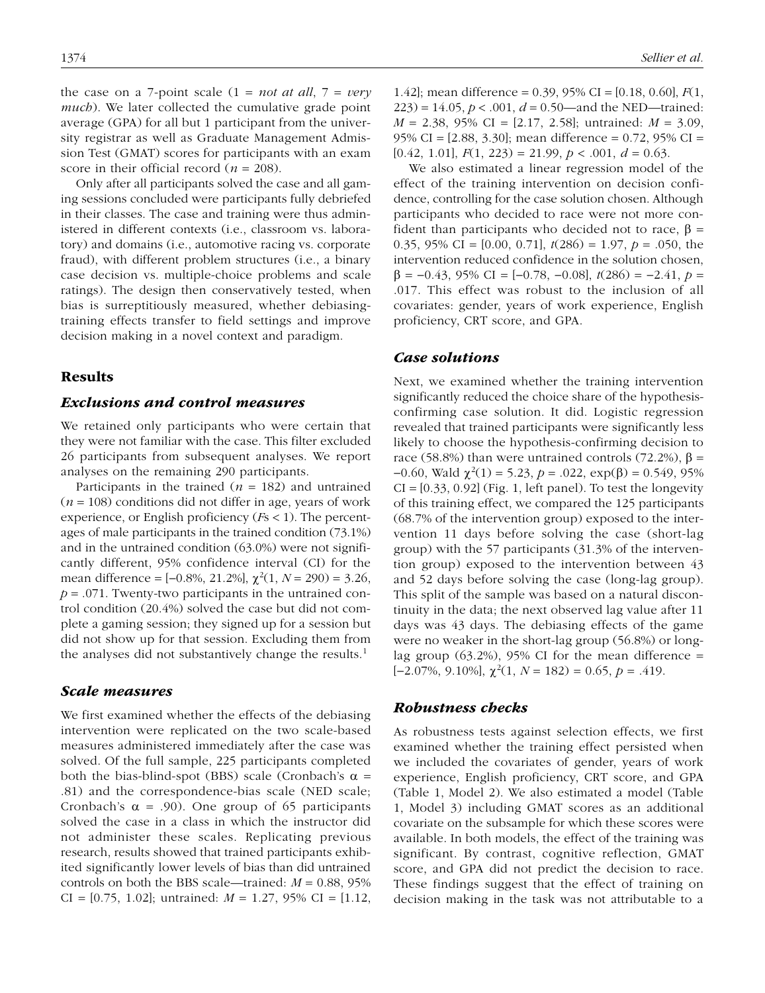the case on a 7-point scale  $(1 = not at all, 7 = very$ *much*). We later collected the cumulative grade point average (GPA) for all but 1 participant from the university registrar as well as Graduate Management Admission Test (GMAT) scores for participants with an exam score in their official record (*n* = 208).

Only after all participants solved the case and all gaming sessions concluded were participants fully debriefed in their classes. The case and training were thus administered in different contexts (i.e., classroom vs. laboratory) and domains (i.e., automotive racing vs. corporate fraud), with different problem structures (i.e., a binary case decision vs. multiple-choice problems and scale ratings). The design then conservatively tested, when bias is surreptitiously measured, whether debiasingtraining effects transfer to field settings and improve decision making in a novel context and paradigm.

## Results

# *Exclusions and control measures*

We retained only participants who were certain that they were not familiar with the case. This filter excluded 26 participants from subsequent analyses. We report analyses on the remaining 290 participants.

Participants in the trained ( $n = 182$ ) and untrained (*n* = 108) conditions did not differ in age, years of work experience, or English proficiency (*F*s < 1). The percentages of male participants in the trained condition (73.1%) and in the untrained condition (63.0%) were not significantly different, 95% confidence interval (CI) for the mean difference =  $[-0.8\%, 21.2\%]$ ,  $\chi^2(1, N = 290) = 3.26$ ,  $p = .071$ . Twenty-two participants in the untrained control condition (20.4%) solved the case but did not complete a gaming session; they signed up for a session but did not show up for that session. Excluding them from the analyses did not substantively change the results.<sup>1</sup>

## *Scale measures*

We first examined whether the effects of the debiasing intervention were replicated on the two scale-based measures administered immediately after the case was solved. Of the full sample, 225 participants completed both the bias-blind-spot (BBS) scale (Cronbach's  $\alpha$  = .81) and the correspondence-bias scale (NED scale; Cronbach's  $\alpha = .90$ ). One group of 65 participants solved the case in a class in which the instructor did not administer these scales. Replicating previous research, results showed that trained participants exhibited significantly lower levels of bias than did untrained controls on both the BBS scale—trained: *M* = 0.88, 95% CI = [0.75, 1.02]; untrained: *M* = 1.27, 95% CI = [1.12, 1.42]; mean difference = 0.39, 95% CI = [0.18, 0.60], *F*(1, 223) = 14.05, *p* < .001, *d* = 0.50—and the NED—trained: *M* = 2.38, 95% CI = [2.17, 2.58]; untrained: *M* = 3.09, 95% CI = [2.88, 3.30]; mean difference = 0.72, 95% CI =  $[0.42, 1.01], F(1, 223) = 21.99, p < .001, d = 0.63.$ 

We also estimated a linear regression model of the effect of the training intervention on decision confidence, controlling for the case solution chosen. Although participants who decided to race were not more confident than participants who decided not to race, β = 0.35, 95% CI = [0.00, 0.71], *t*(286) = 1.97, *p* = .050, the intervention reduced confidence in the solution chosen, β = −0.43, 95% CI = [−0.78, −0.08], *t*(286) = −2.41, *p* = .017. This effect was robust to the inclusion of all covariates: gender, years of work experience, English proficiency, CRT score, and GPA.

# *Case solutions*

Next, we examined whether the training intervention significantly reduced the choice share of the hypothesisconfirming case solution. It did. Logistic regression revealed that trained participants were significantly less likely to choose the hypothesis-confirming decision to race (58.8%) than were untrained controls (72.2%),  $β =$  $-0.60$ , Wald  $\chi^2(1) = 5.23$ ,  $p = .022$ , exp(β) = 0.549, 95%  $CI = [0.33, 0.92]$  (Fig. 1, left panel). To test the longevity of this training effect, we compared the 125 participants (68.7% of the intervention group) exposed to the intervention 11 days before solving the case (short-lag group) with the 57 participants (31.3% of the intervention group) exposed to the intervention between 43 and 52 days before solving the case (long-lag group). This split of the sample was based on a natural discontinuity in the data; the next observed lag value after 11 days was 43 days. The debiasing effects of the game were no weaker in the short-lag group (56.8%) or longlag group  $(63.2\%)$ , 95% CI for the mean difference =  $[-2.07\%, 9.10\%], \chi^2(1, N = 182) = 0.65, p = .419.$ 

#### *Robustness checks*

As robustness tests against selection effects, we first examined whether the training effect persisted when we included the covariates of gender, years of work experience, English proficiency, CRT score, and GPA (Table 1, Model 2). We also estimated a model (Table 1, Model 3) including GMAT scores as an additional covariate on the subsample for which these scores were available. In both models, the effect of the training was significant. By contrast, cognitive reflection, GMAT score, and GPA did not predict the decision to race. These findings suggest that the effect of training on decision making in the task was not attributable to a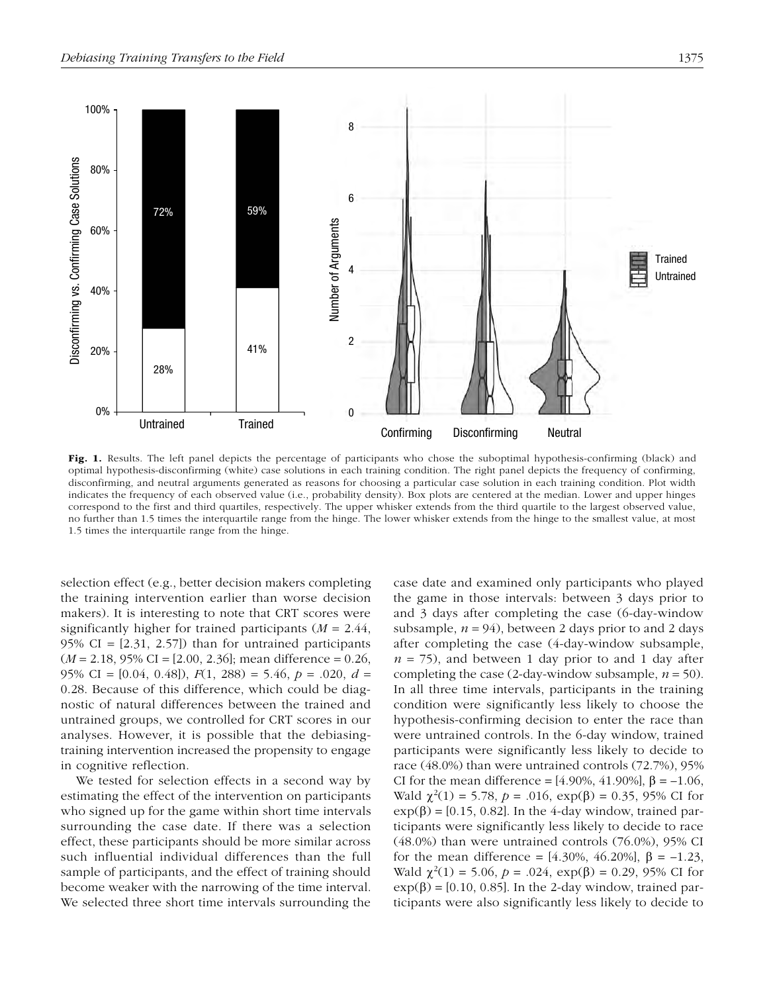

Fig. 1. Results. The left panel depicts the percentage of participants who chose the suboptimal hypothesis-confirming (black) and optimal hypothesis-disconfirming (white) case solutions in each training condition. The right panel depicts the frequency of confirming, disconfirming, and neutral arguments generated as reasons for choosing a particular case solution in each training condition. Plot width indicates the frequency of each observed value (i.e., probability density). Box plots are centered at the median. Lower and upper hinges correspond to the first and third quartiles, respectively. The upper whisker extends from the third quartile to the largest observed value, no further than 1.5 times the interquartile range from the hinge. The lower whisker extends from the hinge to the smallest value, at most 1.5 times the interquartile range from the hinge.

selection effect (e.g., better decision makers completing the training intervention earlier than worse decision makers). It is interesting to note that CRT scores were significantly higher for trained participants (*M* = 2.44, 95% CI =  $[2.31, 2.57]$  than for untrained participants (*M* = 2.18, 95% CI = [2.00, 2.36]; mean difference = 0.26, 95% CI = [0.04, 0.48]), *F*(1, 288) = 5.46, *p* = .020, *d* = 0.28. Because of this difference, which could be diagnostic of natural differences between the trained and untrained groups, we controlled for CRT scores in our analyses. However, it is possible that the debiasingtraining intervention increased the propensity to engage in cognitive reflection.

We tested for selection effects in a second way by estimating the effect of the intervention on participants who signed up for the game within short time intervals surrounding the case date. If there was a selection effect, these participants should be more similar across such influential individual differences than the full sample of participants, and the effect of training should become weaker with the narrowing of the time interval. We selected three short time intervals surrounding the case date and examined only participants who played the game in those intervals: between 3 days prior to and 3 days after completing the case (6-day-window subsample,  $n = 94$ ), between 2 days prior to and 2 days after completing the case (4-day-window subsample,  $n = 75$ , and between 1 day prior to and 1 day after completing the case (2-day-window subsample,  $n = 50$ ). In all three time intervals, participants in the training condition were significantly less likely to choose the hypothesis-confirming decision to enter the race than were untrained controls. In the 6-day window, trained participants were significantly less likely to decide to race (48.0%) than were untrained controls (72.7%), 95% CI for the mean difference = [4.90%, 41.90%],  $β = -1.06$ , Wald  $\chi^2(1) = 5.78$ ,  $p = .016$ ,  $\exp(\beta) = 0.35$ , 95% CI for  $exp(\beta) = [0.15, 0.82]$ . In the 4-day window, trained participants were significantly less likely to decide to race (48.0%) than were untrained controls (76.0%), 95% CI for the mean difference = [4.30%, 46.20%], β = –1.23, Wald  $\chi^2(1) = 5.06$ ,  $p = .024$ ,  $\exp(\beta) = 0.29$ , 95% CI for  $exp(\beta) = [0.10, 0.85]$ . In the 2-day window, trained participants were also significantly less likely to decide to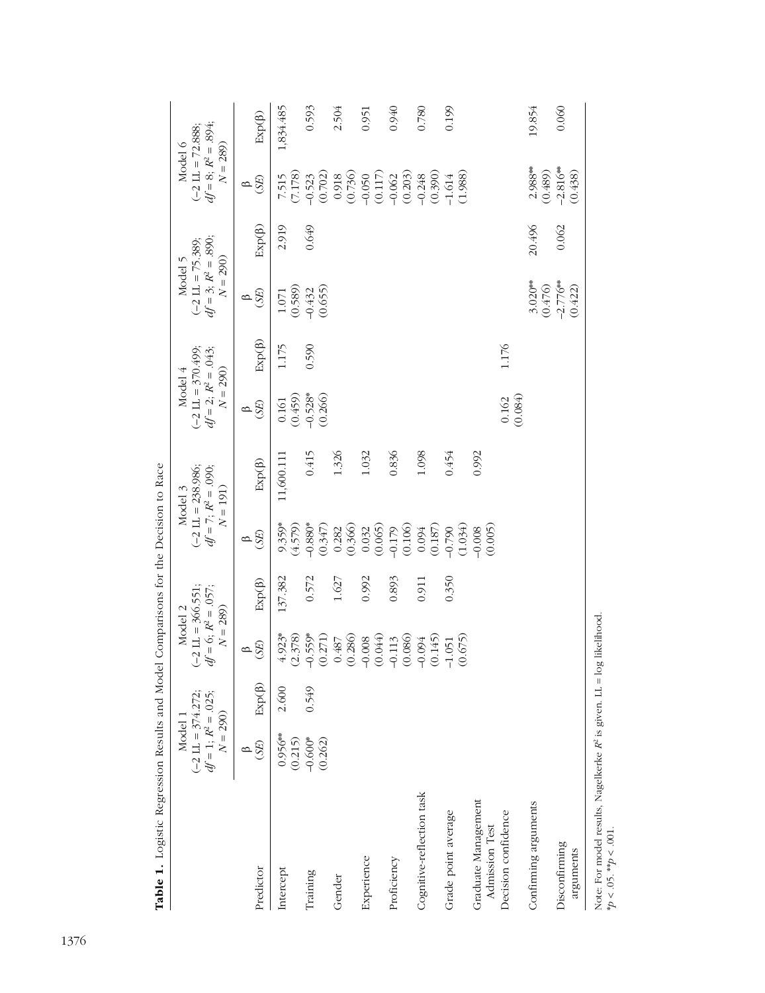| <b>Tanie 1:</b> Toginum Results and Model Controllibution in the Decision to Race |                                                                               |                     |                                                                       |         |                      |                                                           |                                                                       |        |                                                                    |              |                                                                      |           |
|-----------------------------------------------------------------------------------|-------------------------------------------------------------------------------|---------------------|-----------------------------------------------------------------------|---------|----------------------|-----------------------------------------------------------|-----------------------------------------------------------------------|--------|--------------------------------------------------------------------|--------------|----------------------------------------------------------------------|-----------|
|                                                                                   | Model 1                                                                       |                     | Model 2                                                               |         |                      | Model 3                                                   | Model 4                                                               |        | Model 5                                                            |              | Model 6                                                              |           |
|                                                                                   | $(-2 \text{ IL} = 374.272;$<br>$df = 1$ ; $R^2 = .025$ ;<br>${\cal N}$ = 290) |                     | $(-2 \text{ LL} = 366.551;$<br>$df = 6$ ; $R^2 = .057$ ;<br>$N = 289$ |         |                      | $(-2 L1 = 238.986;$<br>$df = 7; R^2 = .090;$<br>$N = 191$ | $(-2 \text{ L}L = 370.499;$<br>$df = 2$ ; $R^2 = .043$ ;<br>$N = 290$ |        | $df = 3$ , $R^2 = 890$ ;<br>$(-2 \text{ L} = 75.389;$<br>$N = 290$ |              | $df = 8$ , $R^2 = .894$ ,<br>$(-2 \text{ L}L = 72.888;$<br>$N = 289$ |           |
| Predictor                                                                         | (SE)                                                                          | $\text{Exp}(\beta)$ | (SE)<br>$\circ$                                                       | Exp(B)  | (SE)<br>C.           | $Exp(\beta)$                                              | (SE)<br>C.                                                            | Exp(B) | $\left( \mathrm{S} \mathrm{E} \right)$<br>$\circ$                  | $Exp(\beta)$ | (SE)<br>$\circ$                                                      | Exp(B)    |
| Intercept                                                                         | $0.956***$<br>(0.215)                                                         | 2.600               | $4.923*$<br>(2.378)                                                   | 137.382 | $9.359*$<br>(4.579)  | 11,600.111                                                | (0.459)<br>0.161                                                      | 1.175  | (0.589)<br>$1.071\,$                                               | 2.919        | (7.178)<br>7.515                                                     | 1,834.485 |
| Training                                                                          | $-0.600*$<br>(0.262)                                                          | 0.549               | $-0.559*$<br>(0.271)                                                  | 0.572   | $-0.880*$<br>(0.347) | 0.415                                                     | $-0.528*$<br>(0.266)                                                  | 0.590  | (0.655)<br>$-0.432$                                                | 0.649        | (0.702)<br>$-0.523$                                                  | 0.593     |
| Gender                                                                            |                                                                               |                     | (0.286)<br>0.487                                                      | 1.627   | (0.366)<br>0.282     | 1.326                                                     |                                                                       |        |                                                                    |              | $(0.918)$<br>(0.736)                                                 | 2.504     |
| Experience                                                                        |                                                                               |                     | (0.044)<br>$-0.008$                                                   | 0.992   | (0.065)<br>0.032     | 1.032                                                     |                                                                       |        |                                                                    |              | (0.117)<br>$-0.050$                                                  | 0.951     |
| Proficiency                                                                       |                                                                               |                     | (0.086)<br>$-0.113$                                                   | 0.893   | (0.106)<br>$-0.179$  | 0.836                                                     |                                                                       |        |                                                                    |              | (0.203)<br>$-0.062$                                                  | 0.940     |
| Cognitive-reflection task                                                         |                                                                               |                     | (0.145)<br>$-0.094$                                                   | 0.911   | (0.187)<br>0.094     | 1.098                                                     |                                                                       |        |                                                                    |              | (0.390)<br>$-0.248$                                                  | 0.780     |
| Grade point average                                                               |                                                                               |                     | (0.675)<br>$-1.051$                                                   | 0.350   | (1.034)<br>$-0.790$  | 0.454                                                     |                                                                       |        |                                                                    |              | (1.988)<br>$-1.614$                                                  | 0.199     |
| Graduate Management<br>Admission Test                                             |                                                                               |                     |                                                                       |         | (0.005)<br>$-0.008$  | 0.992                                                     |                                                                       |        |                                                                    |              |                                                                      |           |
| Decision confidence                                                               |                                                                               |                     |                                                                       |         |                      |                                                           | (0.084)<br>0.162                                                      | 1.176  |                                                                    |              |                                                                      |           |
| Confirming arguments                                                              |                                                                               |                     |                                                                       |         |                      |                                                           |                                                                       |        | $3.020***$<br>(0.476)                                              | 20.496       | $2.988***$<br>(0.489)                                                | 19.854    |
| Disconfirming<br>arguments                                                        |                                                                               |                     |                                                                       |         |                      |                                                           |                                                                       |        | $-2.776$ **<br>(0.422)                                             | 0.062        | $-2.816**$<br>(0.438)                                                | 0.060     |
|                                                                                   |                                                                               |                     |                                                                       |         |                      |                                                           |                                                                       |        |                                                                    |              |                                                                      |           |

**Table 1.** Logistic Regression Results and Model Comparisons for the Decision to Race Table 1. Logistic Regression Results and Model Comparisons for the Decision to Race

Note: For model results, Nagelkerke $R^i$  is given.  $\text{LI} = \log$  likelihood.  $*_P < .05, \, *_P < .001.$ Note: For model results, Nagelkerke *R*2 is given. LL = log likelihood. \**p* < .05. \*\**p* < .001.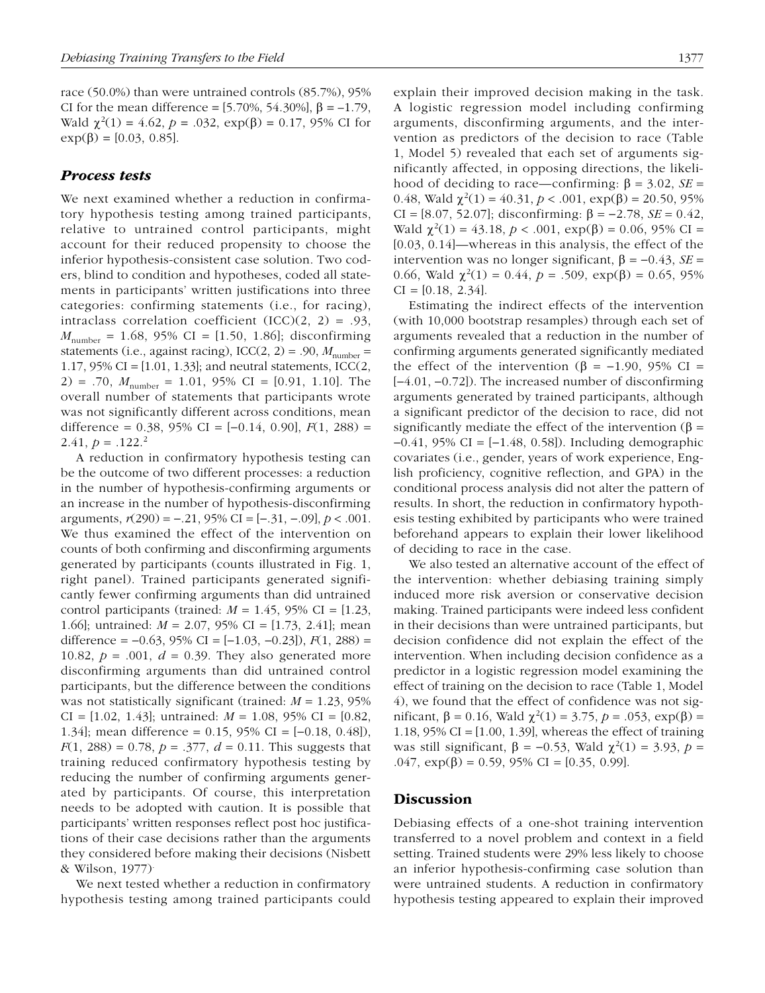race (50.0%) than were untrained controls (85.7%), 95% CI for the mean difference = [5.70%, 54.30%], β = –1.79, Wald  $\chi^2(1) = 4.62$ ,  $p = .032$ ,  $\exp(\beta) = 0.17$ , 95% CI for  $exp(β) = [0.03, 0.85].$ 

#### *Process tests*

We next examined whether a reduction in confirmatory hypothesis testing among trained participants, relative to untrained control participants, might account for their reduced propensity to choose the inferior hypothesis-consistent case solution. Two coders, blind to condition and hypotheses, coded all statements in participants' written justifications into three categories: confirming statements (i.e., for racing), intraclass correlation coefficient  $(ICC)(2, 2) = .93$ , *M*number = 1.68, 95% CI = [1.50, 1.86]; disconfirming statements (i.e., against racing),  $ICC(2, 2) = .90, M_{number} =$ 1.17, 95% CI =  $[1.01, 1.33]$ ; and neutral statements, ICC(2, 2) = .70,  $M_{\text{number}}$  = 1.01, 95% CI = [0.91, 1.10]. The overall number of statements that participants wrote was not significantly different across conditions, mean difference = 0.38, 95% CI = [−0.14, 0.90], *F*(1, 288) = 2.41,  $p = .122.^2$ 

A reduction in confirmatory hypothesis testing can be the outcome of two different processes: a reduction in the number of hypothesis-confirming arguments or an increase in the number of hypothesis-disconfirming arguments, *r*(290) = −.21, 95% CI = [−.31, −.09], *p* < .001. We thus examined the effect of the intervention on counts of both confirming and disconfirming arguments generated by participants (counts illustrated in Fig. 1, right panel). Trained participants generated significantly fewer confirming arguments than did untrained control participants (trained:  $M = 1.45$ , 95% CI = [1.23, 1.66]; untrained: *M* = 2.07, 95% CI = [1.73, 2.41]; mean difference = −0.63, 95% CI = [−1.03, −0.23]), *F*(1, 288) = 10.82,  $p = .001$ ,  $d = 0.39$ . They also generated more disconfirming arguments than did untrained control participants, but the difference between the conditions was not statistically significant (trained: *M* = 1.23, 95% CI =  $[1.02, 1.43]$ ; untrained:  $M = 1.08, 95\%$  CI =  $[0.82, 1.43]$ 1.34]; mean difference = 0.15, 95% CI = [−0.18, 0.48]),  $F(1, 288) = 0.78$ ,  $p = .377$ ,  $d = 0.11$ . This suggests that training reduced confirmatory hypothesis testing by reducing the number of confirming arguments generated by participants. Of course, this interpretation needs to be adopted with caution. It is possible that participants' written responses reflect post hoc justifications of their case decisions rather than the arguments they considered before making their decisions (Nisbett & Wilson, 1977).

We next tested whether a reduction in confirmatory hypothesis testing among trained participants could explain their improved decision making in the task. A logistic regression model including confirming arguments, disconfirming arguments, and the intervention as predictors of the decision to race (Table 1, Model 5) revealed that each set of arguments significantly affected, in opposing directions, the likelihood of deciding to race—confirming: β = 3.02, *SE* = 0.48, Wald  $\chi^2(1) = 40.31$ ,  $p < .001$ ,  $\exp(\beta) = 20.50$ , 95% CI = [8.07, 52.07]; disconfirming: β = −2.78, *SE* = 0.42, Wald  $\chi^2(1) = 43.18$ ,  $p < .001$ ,  $\exp(\beta) = 0.06$ , 95% CI = [0.03, 0.14]—whereas in this analysis, the effect of the intervention was no longer significant, β = −0.43, *SE* = 0.66, Wald  $\chi^2(1) = 0.44$ ,  $p = .509$ ,  $\exp(\beta) = 0.65, 95\%$  $CI = [0.18, 2.34].$ 

Estimating the indirect effects of the intervention (with 10,000 bootstrap resamples) through each set of arguments revealed that a reduction in the number of confirming arguments generated significantly mediated the effect of the intervention ( $\beta$  = -1.90, 95% CI = [−4.01, −0.72]). The increased number of disconfirming arguments generated by trained participants, although a significant predictor of the decision to race, did not significantly mediate the effect of the intervention ( $\beta$  = −0.41, 95% CI = [−1.48, 0.58]). Including demographic covariates (i.e., gender, years of work experience, English proficiency, cognitive reflection, and GPA) in the conditional process analysis did not alter the pattern of results. In short, the reduction in confirmatory hypothesis testing exhibited by participants who were trained beforehand appears to explain their lower likelihood of deciding to race in the case.

We also tested an alternative account of the effect of the intervention: whether debiasing training simply induced more risk aversion or conservative decision making. Trained participants were indeed less confident in their decisions than were untrained participants, but decision confidence did not explain the effect of the intervention. When including decision confidence as a predictor in a logistic regression model examining the effect of training on the decision to race (Table 1, Model 4), we found that the effect of confidence was not significant,  $β = 0.16$ , Wald  $χ<sup>2</sup>(1) = 3.75$ ,  $p = .053$ ,  $exp(β) =$ 1.18, 95% CI = [1.00, 1.39], whereas the effect of training was still significant,  $\beta = -0.53$ , Wald  $\chi^2(1) = 3.93$ ,  $p =$ .047, exp(β) = 0.59, 95% CI = [0.35, 0.99].

# **Discussion**

Debiasing effects of a one-shot training intervention transferred to a novel problem and context in a field setting. Trained students were 29% less likely to choose an inferior hypothesis-confirming case solution than were untrained students. A reduction in confirmatory hypothesis testing appeared to explain their improved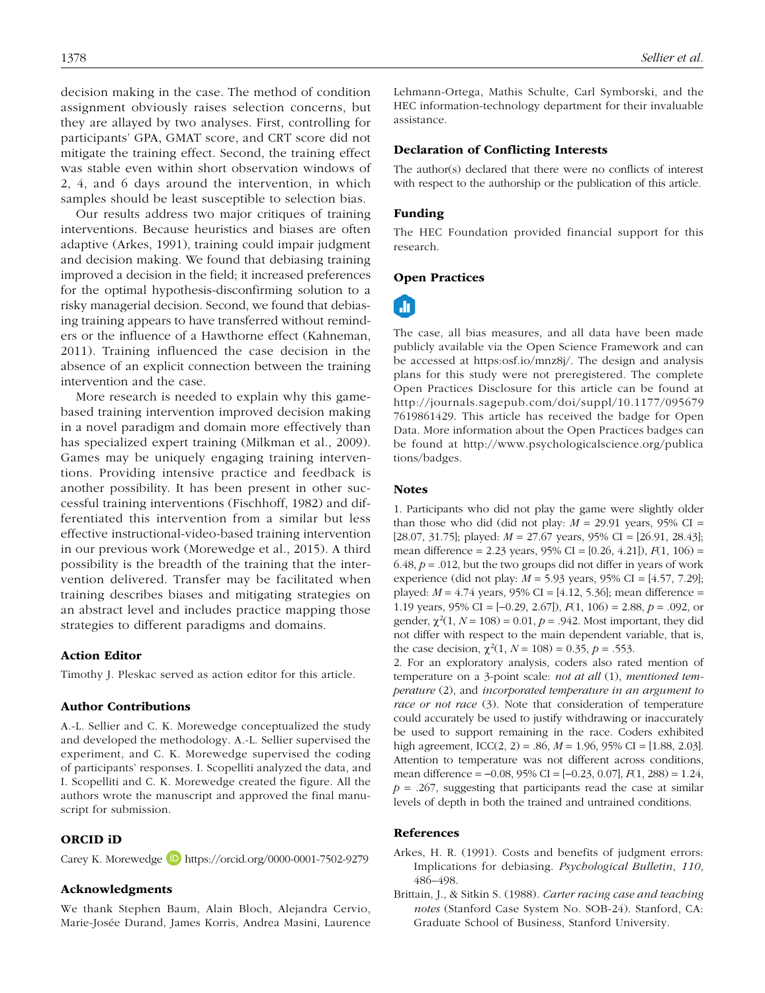decision making in the case. The method of condition assignment obviously raises selection concerns, but they are allayed by two analyses. First, controlling for participants' GPA, GMAT score, and CRT score did not mitigate the training effect. Second, the training effect was stable even within short observation windows of 2, 4, and 6 days around the intervention, in which samples should be least susceptible to selection bias.

Our results address two major critiques of training interventions. Because heuristics and biases are often adaptive (Arkes, 1991), training could impair judgment and decision making. We found that debiasing training improved a decision in the field; it increased preferences for the optimal hypothesis-disconfirming solution to a risky managerial decision. Second, we found that debiasing training appears to have transferred without reminders or the influence of a Hawthorne effect (Kahneman, 2011). Training influenced the case decision in the absence of an explicit connection between the training intervention and the case.

More research is needed to explain why this gamebased training intervention improved decision making in a novel paradigm and domain more effectively than has specialized expert training (Milkman et al., 2009). Games may be uniquely engaging training interventions. Providing intensive practice and feedback is another possibility. It has been present in other successful training interventions (Fischhoff, 1982) and differentiated this intervention from a similar but less effective instructional-video-based training intervention in our previous work (Morewedge et al., 2015). A third possibility is the breadth of the training that the intervention delivered. Transfer may be facilitated when training describes biases and mitigating strategies on an abstract level and includes practice mapping those strategies to different paradigms and domains.

## Action Editor

Timothy J. Pleskac served as action editor for this article.

#### Author Contributions

A.-L. Sellier and C. K. Morewedge conceptualized the study and developed the methodology. A.-L. Sellier supervised the experiment, and C. K. Morewedge supervised the coding of participants' responses. I. Scopelliti analyzed the data, and I. Scopelliti and C. K. Morewedge created the figure. All the authors wrote the manuscript and approved the final manuscript for submission.

# ORCID iD

Carey K. Morewedge **b** <https://orcid.org/0000-0001-7502-9279>

## Acknowledgments

We thank Stephen Baum, Alain Bloch, Alejandra Cervio, Marie-Josée Durand, James Korris, Andrea Masini, Laurence

Lehmann-Ortega, Mathis Schulte, Carl Symborski, and the HEC information-technology department for their invaluable assistance.

#### Declaration of Conflicting Interests

The author(s) declared that there were no conflicts of interest with respect to the authorship or the publication of this article.

#### Funding

The HEC Foundation provided financial support for this research.

#### Open Practices

 $\mathbf{H}$ 

The case, all bias measures, and all data have been made publicly available via the Open Science Framework and can be accessed at [https:osf.io/mnz8j/.](https:osf.io/mnz8j/) The design and analysis plans for this study were not preregistered. The complete Open Practices Disclosure for this article can be found at [http://journals.sagepub.com/doi/suppl/10.1177/095679](http://journals.sagepub.com/doi/suppl/10.1177/0956797619861429) [7619861429.](http://journals.sagepub.com/doi/suppl/10.1177/0956797619861429) This article has received the badge for Open Data. More information about the Open Practices badges can be found at [http://www.psychologicalscience.org/publica](http://www.psychologicalscience.org/publications/badges) [tions/badges](http://www.psychologicalscience.org/publications/badges).

# **Notes**

1. Participants who did not play the game were slightly older than those who did (did not play:  $M = 29.91$  years, 95% CI = [28.07, 31.75]; played: *M* = 27.67 years, 95% CI = [26.91, 28.43]; mean difference = 2.23 years, 95% CI = [0.26, 4.21]), *F*(1, 106) = 6.48,  $p = 0.012$ , but the two groups did not differ in years of work experience (did not play: *M* = 5.93 years, 95% CI = [4.57, 7.29]; played: *M* = 4.74 years, 95% CI = [4.12, 5.36]; mean difference = 1.19 years, 95% CI = [−0.29, 2.67]), *F*(1, 106) = 2.88, *p* = .092, or gender,  $\chi^2(1, N = 108) = 0.01, p = .942$ . Most important, they did not differ with respect to the main dependent variable, that is, the case decision,  $\chi^2(1, N = 108) = 0.35$ ,  $p = .553$ .

2. For an exploratory analysis, coders also rated mention of temperature on a 3-point scale: *not at all* (1), *mentioned temperature* (2), and *incorporated temperature in an argument to race or not race* (3). Note that consideration of temperature could accurately be used to justify withdrawing or inaccurately be used to support remaining in the race. Coders exhibited high agreement, ICC(2, 2) = .86, *M* = 1.96, 95% CI = [1.88, 2.03]. Attention to temperature was not different across conditions, mean difference = −0.08, 95% CI = [−0.23, 0.07], *F*(1, 288) = 1.24,  $p = .267$ , suggesting that participants read the case at similar levels of depth in both the trained and untrained conditions.

#### References

- Arkes, H. R. (1991). Costs and benefits of judgment errors: Implications for debiasing. *Psychological Bulletin*, *110*, 486–498.
- Brittain, J., & Sitkin S. (1988). *Carter racing case and teaching notes* (Stanford Case System No. SOB-24). Stanford, CA: Graduate School of Business, Stanford University.